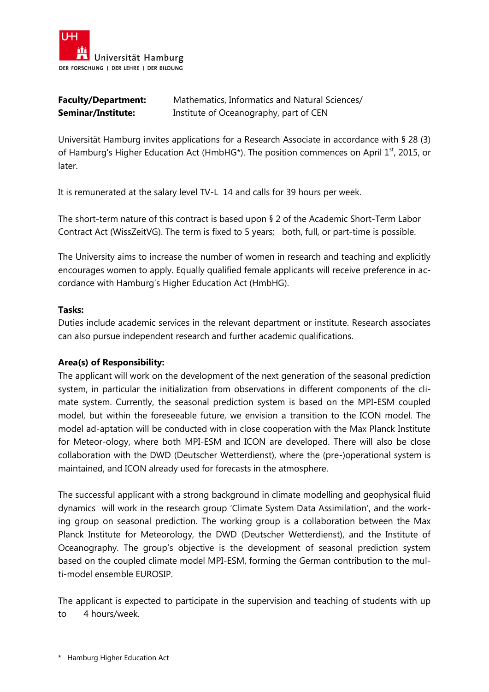

| <b>Faculty/Department:</b> | Mathematics, Informatics and Natural Sciences/ |
|----------------------------|------------------------------------------------|
| <b>Seminar/Institute:</b>  | Institute of Oceanography, part of CEN         |

Universität Hamburg invites applications for a Research Associate in accordance with § 28 (3) of Hamburg's Higher Education Act (HmbHG<sup>\*</sup>). The position commences on April  $1<sup>st</sup>$ , 2015, or later.

It is remunerated at the salary level TV-L 14 and calls for 39 hours per week.

The short-term nature of this contract is based upon § 2 of the Academic Short-Term Labor Contract Act (WissZeitVG). The term is fixed to 5 years; both, full, or part-time is possible.

The University aims to increase the number of women in research and teaching and explicitly encourages women to apply. Equally qualified female applicants will receive preference in accordance with Hamburg's Higher Education Act (HmbHG).

## **Tasks:**

Duties include academic services in the relevant department or institute. Research associates can also pursue independent research and further academic qualifications.

## **Area(s) of Responsibility:**

The applicant will work on the development of the next generation of the seasonal prediction system, in particular the initialization from observations in different components of the climate system. Currently, the seasonal prediction system is based on the MPI-ESM coupled model, but within the foreseeable future, we envision a transition to the ICON model. The model ad-aptation will be conducted with in close cooperation with the Max Planck Institute for Meteor-ology, where both MPI-ESM and ICON are developed. There will also be close collaboration with the DWD (Deutscher Wetterdienst), where the (pre-)operational system is maintained, and ICON already used for forecasts in the atmosphere.

The successful applicant with a strong background in climate modelling and geophysical fluid dynamics will work in the research group 'Climate System Data Assimilation', and the working group on seasonal prediction. The working group is a collaboration between the Max Planck Institute for Meteorology, the DWD (Deutscher Wetterdienst), and the Institute of Oceanography. The group's objective is the development of seasonal prediction system based on the coupled climate model MPI-ESM, forming the German contribution to the multi-model ensemble EUROSIP.

The applicant is expected to participate in the supervision and teaching of students with up to 4 hours/week.